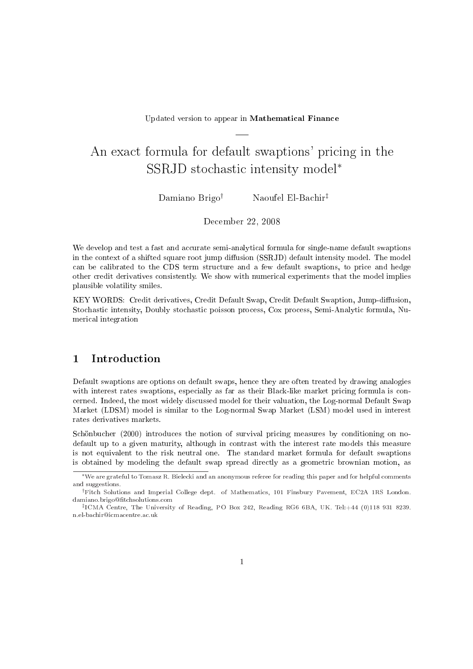Updated version to appear in Mathematical Finance

 $\overline{\phantom{0}}$ 

# An exact formula for default swaptions' pricing in the SSRJD stochastic intensity model<sup>∗</sup>

Damiano Brigo† Naoufel El-Bachir‡

December 22, 2008

We develop and test a fast and accurate semi-analytical formula for single-name default swaptions in the context of a shifted square root jump diffusion (SSRJD) default intensity model. The model can be calibrated to the CDS term structure and a few default swaptions, to price and hedge other credit derivatives consistently. We show with numerical experiments that the model implies plausible volatility smiles.

KEY WORDS: Credit derivatives, Credit Default Swap, Credit Default Swaption, Jump-diffusion, Stochastic intensity, Doubly stochastic poisson process, Cox process, Semi-Analytic formula, Numerical integration

# 1 Introduction

Default swaptions are options on default swaps, hence they are often treated by drawing analogies with interest rates swaptions, especially as far as their Black-like market pricing formula is concerned. Indeed, the most widely discussed model for their valuation, the Log-normal Default Swap Market (LDSM) model is similar to the Log-normal Swap Market (LSM) model used in interest rates derivatives markets.

Schönbucher (2000) introduces the notion of survival pricing measures by conditioning on nodefault up to a given maturity, although in contrast with the interest rate models this measure is not equivalent to the risk neutral one. The standard market formula for default swaptions is obtained by modeling the default swap spread directly as a geometric brownian motion, as

<sup>∗</sup>We are grateful to Tomasz R. Bielecki and an anonymous referee for reading this paper and for helpful comments and suggestions.

<sup>†</sup>Fitch Solutions and Imperial College dept. of Mathematics, 101 Finsbury Pavement, EC2A 1RS London. damiano.brigo@fitchsolutions.com

<sup>‡</sup> ICMA Centre, The University of Reading, PO Box 242, Reading RG6 6BA, UK. Tel:+44 (0)118 931 8239. n.el-bachir@icmacentre.ac.uk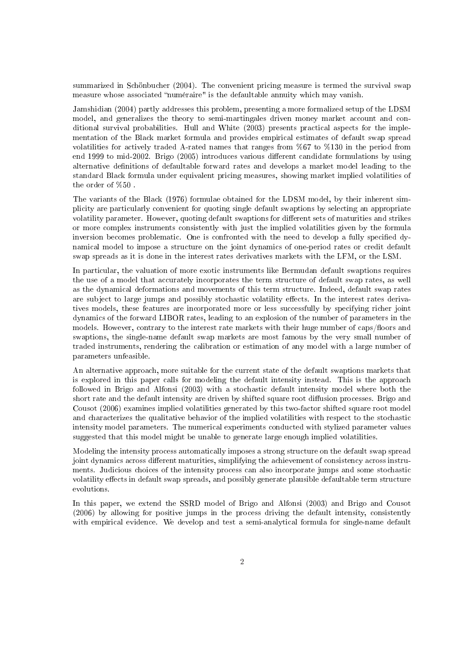summarized in Schönbucher (2004). The convenient pricing measure is termed the survival swap measure whose associated "numéraire" is the defaultable annuity which may vanish.

Jamshidian (2004) partly addresses this problem, presenting a more formalized setup of the LDSM model, and generalizes the theory to semi-martingales driven money market account and conditional survival probabilities. Hull and White (2003) presents practical aspects for the implementation of the Black market formula and provides empirical estimates of default swap spread volatilities for actively traded A-rated names that ranges from %67 to %130 in the period from end 1999 to mid-2002. Brigo (2005) introduces various different candidate formulations by using alternative denitions of defaultable forward rates and develops a market model leading to the standard Black formula under equivalent pricing measures, showing market implied volatilities of the order of %50 .

The variants of the Black (1976) formulae obtained for the LDSM model, by their inherent simplicity are particularly convenient for quoting single default swaptions by selecting an appropriate volatility parameter. However, quoting default swaptions for different sets of maturities and strikes or more complex instruments consistently with just the implied volatilities given by the formula inversion becomes problematic. One is confronted with the need to develop a fully specified dynamical model to impose a structure on the joint dynamics of one-period rates or credit default swap spreads as it is done in the interest rates derivatives markets with the LFM, or the LSM.

In particular, the valuation of more exotic instruments like Bermudan default swaptions requires the use of a model that accurately incorporates the term structure of default swap rates, as well as the dynamical deformations and movements of this term structure. Indeed, default swap rates are subject to large jumps and possibly stochastic volatility effects. In the interest rates derivatives models, these features are incorporated more or less successfully by specifying richer joint dynamics of the forward LIBOR rates, leading to an explosion of the number of parameters in the models. However, contrary to the interest rate markets with their huge number of caps/floors and swaptions, the single-name default swap markets are most famous by the very small number of traded instruments, rendering the calibration or estimation of any model with a large number of parameters unfeasible.

An alternative approach, more suitable for the current state of the default swaptions markets that is explored in this paper calls for modeling the default intensity instead. This is the approach followed in Brigo and Alfonsi (2003) with a stochastic default intensity model where both the short rate and the default intensity are driven by shifted square root diffusion processes. Brigo and Cousot (2006) examines implied volatilities generated by this two-factor shifted square root model and characterizes the qualitative behavior of the implied volatilities with respect to the stochastic intensity model parameters. The numerical experiments conducted with stylized parameter values suggested that this model might be unable to generate large enough implied volatilities.

Modeling the intensity process automatically imposes a strong structure on the default swap spread joint dynamics across different maturities, simplifying the achievement of consistency across instruments. Judicious choices of the intensity process can also incorporate jumps and some stochastic volatility effects in default swap spreads, and possibly generate plausible defaultable term structure evolutions.

In this paper, we extend the SSRD model of Brigo and Alfonsi (2003) and Brigo and Cousot (2006) by allowing for positive jumps in the process driving the default intensity, consistently with empirical evidence. We develop and test a semi-analytical formula for single-name default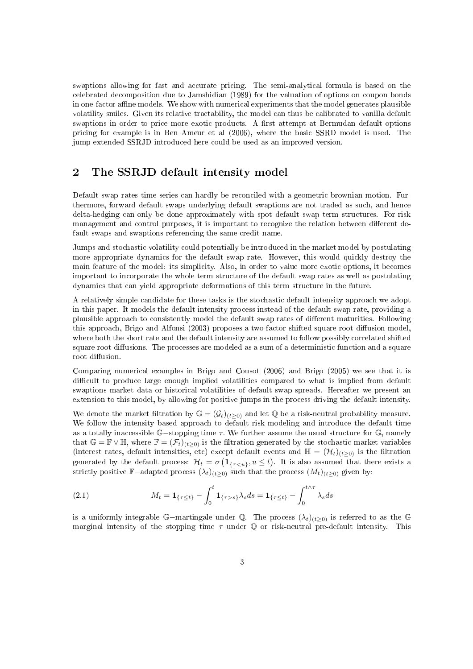swaptions allowing for fast and accurate pricing. The semi-analytical formula is based on the celebrated decomposition due to Jamshidian (1989) for the valuation of options on coupon bonds in one-factor affine models. We show with numerical experiments that the model generates plausible volatility smiles. Given its relative tractability, the model can thus be calibrated to vanilla default swaptions in order to price more exotic products. A first attempt at Bermudan default options pricing for example is in Ben Ameur et al (2006), where the basic SSRD model is used. The jump-extended SSRJD introduced here could be used as an improved version.

# 2 The SSRJD default intensity model

Default swap rates time series can hardly be reconciled with a geometric brownian motion. Furthermore, forward default swaps underlying default swaptions are not traded as such, and hence delta-hedging can only be done approximately with spot default swap term structures. For risk management and control purposes, it is important to recognize the relation between different default swaps and swaptions referencing the same credit name.

Jumps and stochastic volatility could potentially be introduced in the market model by postulating more appropriate dynamics for the default swap rate. However, this would quickly destroy the main feature of the model: its simplicity. Also, in order to value more exotic options, it becomes important to incorporate the whole term structure of the default swap rates as well as postulating dynamics that can yield appropriate deformations of this term structure in the future.

A relatively simple candidate for these tasks is the stochastic default intensity approach we adopt in this paper. It models the default intensity process instead of the default swap rate, providing a plausible approach to consistently model the default swap rates of different maturities. Following this approach, Brigo and Alfonsi (2003) proposes a two-factor shifted square root diffusion model, where both the short rate and the default intensity are assumed to follow possibly correlated shifted square root diffusions. The processes are modeled as a sum of a deterministic function and a square root diffusion.

Comparing numerical examples in Brigo and Cousot (2006) and Brigo (2005) we see that it is difficult to produce large enough implied volatilities compared to what is implied from default swaptions market data or historical volatilities of default swap spreads. Hereafter we present an extension to this model, by allowing for positive jumps in the process driving the default intensity.

We denote the market filtration by  $\mathbb{G} = (\mathcal{G}_t)_{(t>0)}$  and let  $\mathbb Q$  be a risk-neutral probability measure. We follow the intensity based approach to default risk modeling and introduce the default time as a totally inaccessible G-stopping time  $\tau$ . We further assume the usual structure for G, namely that  $\mathbb{G} = \mathbb{F} \vee \mathbb{H}$ , where  $\mathbb{F} = (\mathcal{F}_t)_{(t>0)}$  is the filtration generated by the stochastic market variables (interest rates, default intensities, etc) except default events and  $\mathbb{H} = (\mathcal{H}_t)_{(t \geq 0)}$  is the filtration generated by the default process:  $\mathcal{H}_t = \sigma\left(\mathbf{1}_{\{\tau < u\}}, u \leq t\right)$ . It is also assumed that there exists a strictly positive F-adapted process  $(\lambda_t)_{(t\geq0)}$  such that the process  $(M_t)_{(t\geq0)}$  given by:

(2.1) 
$$
M_t = \mathbf{1}_{\{\tau \le t\}} - \int_0^t \mathbf{1}_{\{\tau > s\}} \lambda_s ds = \mathbf{1}_{\{\tau \le t\}} - \int_0^{t \wedge \tau} \lambda_s ds
$$

is a uniformly integrable G−martingale under Q. The process  $(\lambda_t)_{(t>0)}$  is referred to as the G marginal intensity of the stopping time  $\tau$  under Q or risk-neutral pre-default intensity. This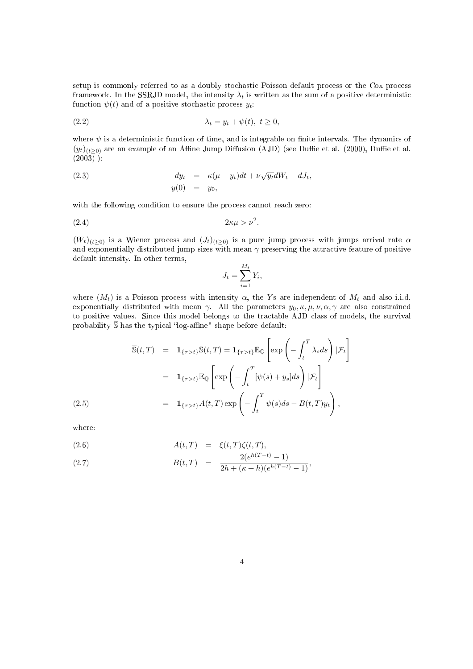setup is commonly referred to as a doubly stochastic Poisson default process or the Cox process framework. In the SSRJD model, the intensity  $\lambda_t$  is written as the sum of a positive deterministic function  $\psi(t)$  and of a positive stochastic process  $y_t$ .

$$
\lambda_t = y_t + \psi(t), \ t \ge 0,
$$

where  $\psi$  is a deterministic function of time, and is integrable on finite intervals. The dynamics of  $(y_t)_{(t>0)}$  are an example of an Affine Jump Diffusion (AJD) (see Duffie et al. (2000), Duffie et al.  $(2003)$  ):

(2.3) 
$$
dy_t = \kappa(\mu - y_t)dt + \nu \sqrt{y_t}dW_t + dJ_t,
$$

$$
y(0) = y_0,
$$

with the following condition to ensure the process cannot reach zero:

$$
(2.4) \t 2\kappa\mu > \nu^2.
$$

 $(W_t)_{(t\geq0)}$  is a Wiener process and  $(J_t)_{(t\geq0)}$  is a pure jump process with jumps arrival rate  $\alpha$ and exponentially distributed jump sizes with mean  $\gamma$  preserving the attractive feature of positive default intensity. In other terms,

$$
J_t = \sum_{i=1}^{M_t} Y_i,
$$

where  $(M_t)$  is a Poisson process with intensity  $\alpha$ , the Ys are independent of  $M_t$  and also i.i.d. exponentially distributed with mean  $\gamma$ . All the parameters  $y_0, \kappa, \mu, \nu, \alpha, \gamma$  are also constrained to positive values. Since this model belongs to the tractable AJD class of models, the survival probability  $\overline{S}$  has the typical "log-affine" shape before default:

$$
\overline{\mathbb{S}}(t,T) = \mathbf{1}_{\{\tau > t\}} \mathbb{S}(t,T) = \mathbf{1}_{\{\tau > t\}} \mathbb{E}_{\mathbb{Q}} \left[ \exp \left( - \int_t^T \lambda_s ds \right) | \mathcal{F}_t \right]
$$

$$
= \mathbf{1}_{\{\tau > t\}} \mathbb{E}_{\mathbb{Q}} \left[ \exp \left( - \int_t^T [\psi(s) + y_s] ds \right) | \mathcal{F}_t \right]
$$

$$
= \mathbf{1}_{\{\tau > t\}} A(t,T) \exp \left( - \int_t^T \psi(s) ds - B(t,T) y_t \right),
$$

where:

$$
(2.6) \qquad A(t,T) = \xi(t,T)\zeta(t,T),
$$

(2.7) 
$$
B(t,T) = \frac{2(e^{h(T-t)}-1)}{2h + (\kappa + h)(e^{h(T-t)}-1)},
$$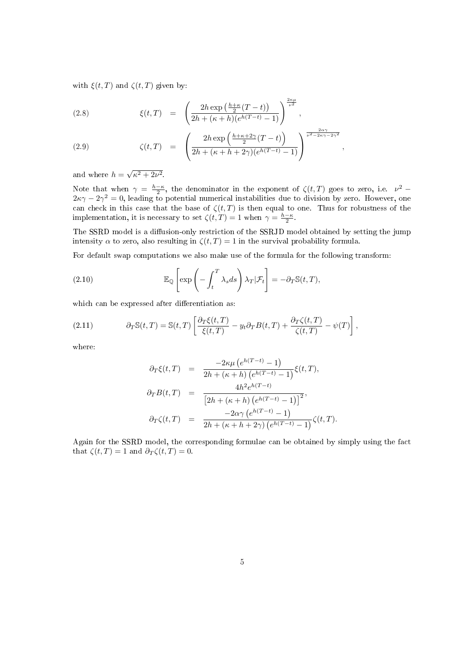with  $\xi(t,T)$  and  $\zeta(t,T)$  given by:

(2.8) 
$$
\xi(t,T) = \left(\frac{2h \exp\left(\frac{h+\kappa}{2}(T-t)\right)}{2h + (\kappa+h)(e^{h(T-t)}-1)}\right)^{\frac{2\kappa\mu}{\nu^2}},
$$

(2.9) 
$$
\zeta(t,T) = \left( \frac{2h \exp\left(\frac{h+\kappa+2\gamma}{2}(T-t)\right)}{2h+(\kappa+h+2\gamma)(e^{h(T-t)}-1)} \right)^{\frac{2\alpha\gamma}{\nu^2-2\kappa\gamma-2\gamma^2}},
$$

and where  $h =$ √  $\overline{\kappa^2+2\nu^2}$ .

Note that when  $\gamma = \frac{h-\kappa}{2}$ , the denominator in the exponent of  $\zeta(t,T)$  goes to zero, i.e.  $\nu^2$  –  $2\kappa\gamma - 2\gamma^2 = 0$ , leading to potential numerical instabilities due to division by zero. However, one can check in this case that the base of  $\zeta(t,T)$  is then equal to one. Thus for robustness of the implementation, it is necessary to set  $\zeta(t,T) = 1$  when  $\gamma = \frac{h-\kappa}{2}$ .

The SSRD model is a diffusion-only restriction of the SSRJD model obtained by setting the jump intensity  $\alpha$  to zero, also resulting in  $\zeta(t,T) = 1$  in the survival probability formula.

For default swap computations we also make use of the formula for the following transform:

(2.10) 
$$
\mathbb{E}_{\mathbb{Q}}\left[\exp\left(-\int_t^T \lambda_s ds\right)\lambda_T|\mathcal{F}_t\right] = -\partial_T\mathbb{S}(t,T),
$$

which can be expressed after differentiation as:

(2.11) 
$$
\partial_T \mathbb{S}(t,T) = \mathbb{S}(t,T) \left[ \frac{\partial_T \xi(t,T)}{\xi(t,T)} - y_t \partial_T B(t,T) + \frac{\partial_T \zeta(t,T)}{\zeta(t,T)} - \psi(T) \right],
$$

where:

$$
\partial_T \xi(t,T) = \frac{-2\kappa \mu (e^{h(T-t)} - 1)}{2h + (\kappa + h) (e^{h(T-t)} - 1)} \xi(t,T),
$$
  

$$
\partial_T B(t,T) = \frac{4h^2 e^{h(T-t)}}{[2h + (\kappa + h) (e^{h(T-t)} - 1)]^2},
$$
  

$$
\partial_T \zeta(t,T) = \frac{-2\alpha \gamma (e^{h(T-t)} - 1)}{2h + (\kappa + h + 2\gamma) (e^{h(T-t)} - 1)} \zeta(t,T).
$$

Again for the SSRD model, the corresponding formulae can be obtained by simply using the fact that  $\zeta(t,T) = 1$  and  $\partial_T \zeta(t,T) = 0$ .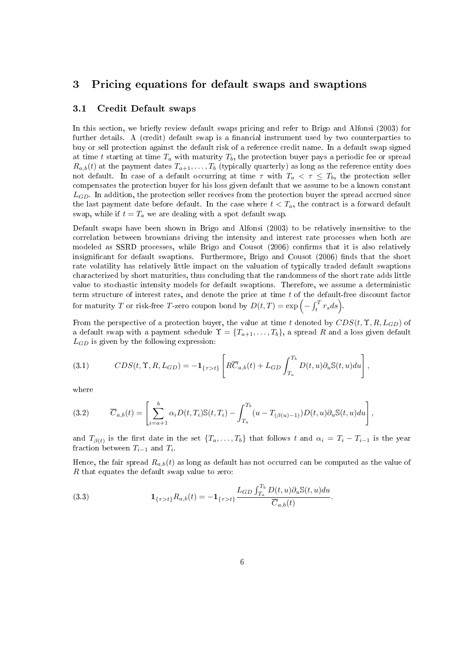### 3 Pricing equations for default swaps and swaptions

#### 3.1 Credit Default swaps

In this section, we briefly review default swaps pricing and refer to Brigo and Alfonsi (2003) for further details. A (credit) default swap is a financial instrument used by two counterparties to buy or sell protection against the default risk of a reference credit name. In a default swap signed at time t starting at time  $T_a$  with maturity  $T_b$ , the protection buyer pays a periodic fee or spread  $R_{a,b}(t)$  at the payment dates  $T_{a+1}, \ldots, T_b$  (typically quarterly) as long as the reference entity does not default. In case of a default occurring at time  $\tau$  with  $T_a < \tau \leq T_b$ , the protection seller compensates the protection buyer for his loss given default that we assume to be a known constant  $L_{GD}$ . In addition, the protection seller receives from the protection buyer the spread accrued since the last payment date before default. In the case where  $t < T_a$ , the contract is a forward default swap, while if  $t = T_a$  we are dealing with a spot default swap.

Default swaps have been shown in Brigo and Alfonsi (2003) to be relatively insensitive to the correlation between brownians driving the intensity and interest rate processes when both are modeled as SSRD processes, while Brigo and Cousot  $(2006)$  confirms that it is also relatively insignificant for default swaptions. Furthermore, Brigo and Cousot (2006) finds that the short rate volatility has relatively little impact on the valuation of typically traded default swaptions characterized by short maturities, thus concluding that the randomness of the short rate adds little value to stochastic intensity models for default swaptions. Therefore, we assume a deterministic term structure of interest rates, and denote the price at time  $t$  of the default-free discount factor term structure of interest rates, and denote the price at time  $t$  of the d<br>for maturity  $T$  or risk-free  $T$ -zero coupon bond by  $D(t,T) = \exp \left(-\int_t^T$  $\left(\begin{smallmatrix} \text{d} & \text{d} & \text{d} \\ \text{r} & \text{r}_s & \text{d} \text{s} \end{smallmatrix}\right).$ 

From the perspective of a protection buyer, the value at time t denoted by  $CDS(t, \Upsilon, R, L_{GD})$  of a default swap with a payment schedule  $\Upsilon = \{T_{a+1}, \ldots, T_b\}$ , a spread R and a loss given default  $L_{GD}$  is given by the following expression:

(3.1) 
$$
CDS(t, \Upsilon, R, L_{GD}) = -\mathbf{1}_{\{\tau > t\}} \left[ R \overline{C}_{a,b}(t) + L_{GD} \int_{T_a}^{T_b} D(t, u) \partial_u \mathbb{S}(t, u) du \right],
$$

where

(3.2) 
$$
\overline{C}_{a,b}(t) = \left[ \sum_{i=a+1}^{b} \alpha_i D(t,T_i) \mathbb{S}(t,T_i) - \int_{T_a}^{T_b} (u - T_{(\beta(u)-1)}) D(t,u) \partial_u \mathbb{S}(t,u) du \right],
$$

and  $T_{\beta(t)}$  is the first date in the set  $\{T_a, \ldots, T_b\}$  that follows t and  $\alpha_i = T_i - T_{i-1}$  is the year fraction between  $T_{i-1}$  and  $T_i$ .

Hence, the fair spread  $R_{a,b}(t)$  as long as default has not occurred can be computed as the value of R that equates the default swap value to zero:

(3.3) 
$$
\mathbf{1}_{\{\tau > t\}} R_{a,b}(t) = -\mathbf{1}_{\{\tau > t\}} \frac{L_{GD} \int_{T_a}^{T_b} D(t, u) \partial_u \mathbb{S}(t, u) du}{\overline{C}_{a,b}(t)}.
$$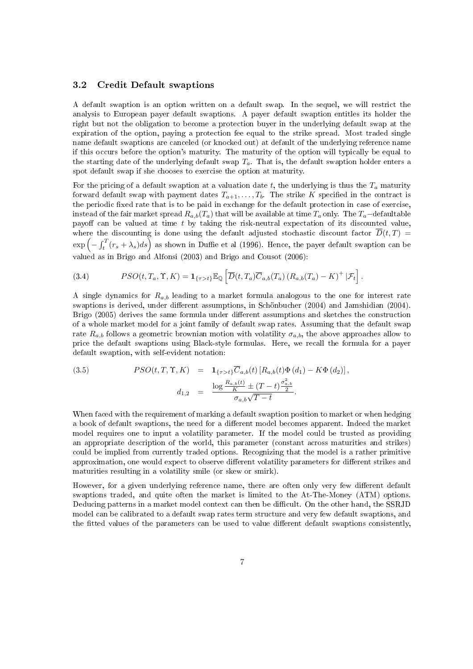#### 3.2 Credit Default swaptions

A default swaption is an option written on a default swap. In the sequel, we will restrict the analysis to European payer default swaptions. A payer default swaption entitles its holder the right but not the obligation to become a protection buyer in the underlying default swap at the expiration of the option, paying a protection fee equal to the strike spread. Most traded single name default swaptions are canceled (or knocked out) at default of the underlying reference name if this occurs before the option's maturity. The maturity of the option will typically be equal to the starting date of the underlying default swap  $T_a$ . That is, the default swaption holder enters a spot default swap if she chooses to exercise the option at maturity.

For the pricing of a default swaption at a valuation date t, the underlying is thus the  $T_a$  maturity forward default swap with payment dates  $T_{a+1}, \ldots, T_b$ . The strike K specified in the contract is the periodic fixed rate that is to be paid in exchange for the default protection in case of exercise, instead of the fair market spread  $R_{a,b}(T_a)$  that will be available at time  $T_a$  only. The  $T_a$ -defaultable payoff can be valued at time  $t$  by taking the risk-neutral expectation of its discounted value, where the discounting is done using the default adjusted stochastic discount factor  $\overline{D}(t,T)$  = where the  $\exp\big(-\int_t^T$ the discounting is done using the default adjusted stochastic discount factor  $D(t, I) = \frac{T}{t}(r_s + \lambda_s)ds$  as shown in Duffie et al (1996). Hence, the payer default swaption can be valued as in Brigo and Alfonsi (2003) and Brigo and Cousot (2006):

(3.4) 
$$
PSO(t, T_a, \Upsilon, K) = \mathbf{1}_{\{\tau > t\}} \mathbb{E}_{\mathbb{Q}} \left[ \overline{D}(t, T_a) \overline{C}_{a,b}(T_a) (R_{a,b}(T_a) - K)^+ | \mathcal{F}_t \right].
$$

A single dynamics for  $R_{a,b}$  leading to a market formula analogous to the one for interest rate swaptions is derived, under different assumptions, in Schönbucher (2004) and Jamshidian (2004). Brigo (2005) derives the same formula under different assumptions and sketches the construction of a whole market model for a joint family of default swap rates. Assuming that the default swap rate  $R_{a,b}$  follows a geometric brownian motion with volatility  $\sigma_{a,b}$ , the above approaches allow to price the default swaptions using Black-style formulas. Here, we recall the formula for a payer default swaption, with self-evident notation:

(3.5) 
$$
PSO(t, T, \Upsilon, K) = \mathbf{1}_{\{\tau > t\}} \overline{C}_{a,b}(t) [R_{a,b}(t) \Phi(d_1) - K\Phi(d_2)],
$$

$$
d_{1,2} = \frac{\log \frac{R_{a,b}(t)}{K} \pm (T-t) \frac{\sigma_{a,b}^2}{2}}{\sigma_{a,b} \sqrt{T-t}}.
$$

When faced with the requirement of marking a default swaption position to market or when hedging a book of default swaptions, the need for a different model becomes apparent. Indeed the market model requires one to input a volatility parameter. If the model could be trusted as providing an appropriate description of the world, this parameter (constant across maturities and strikes) could be implied from currently traded options. Recognizing that the model is a rather primitive approximation, one would expect to observe different volatility parameters for different strikes and maturities resulting in a volatility smile (or skew or smirk).

However, for a given underlying reference name, there are often only very few different default swaptions traded, and quite often the market is limited to the At-The-Money (ATM) options. Deducing patterns in a market model context can then be difficult. On the other hand, the SSRJD model can be calibrated to a default swap rates term structure and very few default swaptions, and the fitted values of the parameters can be used to value different default swaptions consistently.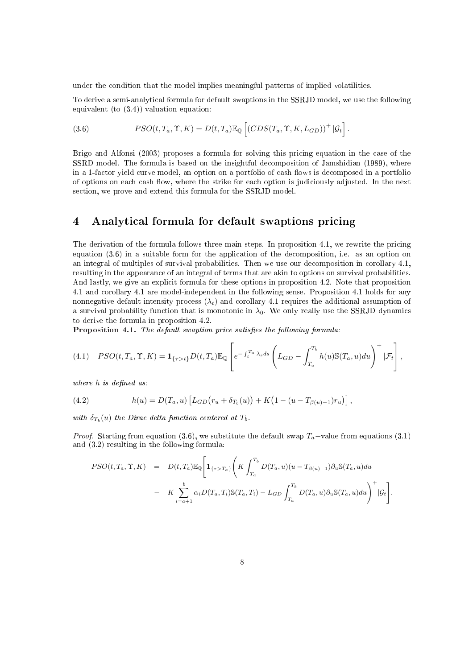under the condition that the model implies meaningful patterns of implied volatilities.

To derive a semi-analytical formula for default swaptions in the SSRJD model, we use the following equivalent (to (3.4)) valuation equation:

(3.6) 
$$
PSO(t, T_a, \Upsilon, K) = D(t, T_a) \mathbb{E}_{\mathbb{Q}} \left[ (CDS(T_a, \Upsilon, K, L_{GD}))^+ | \mathcal{G}_t \right].
$$

Brigo and Alfonsi (2003) proposes a formula for solving this pricing equation in the case of the SSRD model. The formula is based on the insightful decomposition of Jamshidian (1989), where in a 1-factor yield curve model, an option on a portfolio of cash flows is decomposed in a portfolio of options on each cash flow, where the strike for each option is judiciously adjusted. In the next section, we prove and extend this formula for the SSRJD model.

## 4 Analytical formula for default swaptions pricing

The derivation of the formula follows three main steps. In proposition 4.1, we rewrite the pricing equation (3.6) in a suitable form for the application of the decomposition, i.e. as an option on an integral of multiples of survival probabilities. Then we use our decomposition in corollary 4.1, resulting in the appearance of an integral of terms that are akin to options on survival probabilities. And lastly, we give an explicit formula for these options in proposition 4.2. Note that proposition 4.1 and corollary 4.1 are model-independent in the following sense. Proposition 4.1 holds for any nonnegative default intensity process  $(\lambda_t)$  and corollary 4.1 requires the additional assumption of a survival probability function that is monotonic in  $\lambda_0$ . We only really use the SSRJD dynamics to derive the formula in proposition 4.2.

Proposition 4.1. The default swaption price satisfies the following formula:

$$
(4.1) \quad PSO(t, T_a, \Upsilon, K) = \mathbf{1}_{\{\tau > t\}} D(t, T_a) \mathbb{E}_{\mathbb{Q}} \left[ e^{-\int_t^{T_a} \lambda_s ds} \left( L_{GD} - \int_{T_a}^{T_b} h(u) \mathbb{S}(T_a, u) du \right)^+ | \mathcal{F}_t \right],
$$

where  $h$  is defined as:

(4.2) 
$$
h(u) = D(T_a, u) \left[ L_{GD}(r_u + \delta_{T_b}(u)) + K\left(1 - (u - T_{\beta(u)-1})r_u\right) \right],
$$

with  $\delta_{T_b}(u)$  the Dirac delta function centered at  $T_b$ .

*Proof.* Starting from equation (3.6), we substitute the default swap  $T_a$ –value from equations (3.1) and (3.2) resulting in the following formula:

$$
PSO(t, T_a, \Upsilon, K) = D(t, T_a) \mathbb{E}_{\mathbb{Q}} \Bigg[ \mathbf{1}_{\{\tau > T_a\}} \Bigg( K \int_{T_a}^{T_b} D(T_a, u)(u - T_{\beta(u)-1}) \partial_u \mathbb{S}(T_a, u) du - K \sum_{i=a+1}^b \alpha_i D(T_a, T_i) \mathbb{S}(T_a, T_i) - L_{GD} \int_{T_a}^{T_b} D(T_a, u) \partial_u \mathbb{S}(T_a, u) du \Bigg)^+ |\mathcal{G}_t| \Bigg].
$$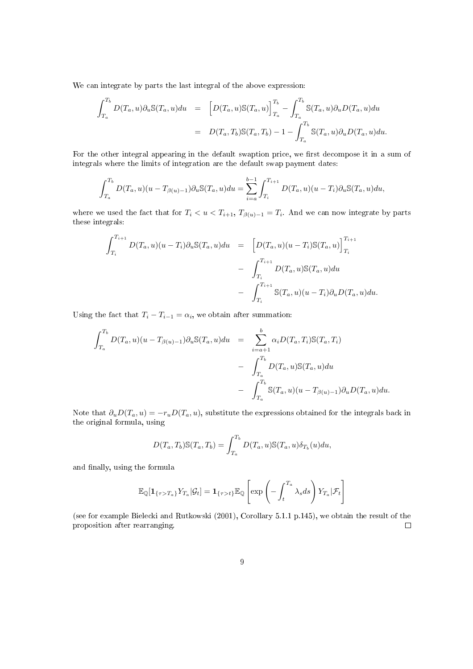We can integrate by parts the last integral of the above expression:

$$
\int_{T_a}^{T_b} D(T_a, u) \partial_u \mathbb{S}(T_a, u) du = \left[ D(T_a, u) \mathbb{S}(T_a, u) \right]_{T_a}^{T_b} - \int_{T_a}^{T_b} \mathbb{S}(T_a, u) \partial_u D(T_a, u) du
$$

$$
= D(T_a, T_b) \mathbb{S}(T_a, T_b) - 1 - \int_{T_a}^{T_b} \mathbb{S}(T_a, u) \partial_u D(T_a, u) du.
$$

For the other integral appearing in the default swaption price, we first decompose it in a sum of integrals where the limits of integration are the default swap payment dates:

$$
\int_{T_a}^{T_b} D(T_a, u)(u - T_{\beta(u)-1}) \partial_u \mathbb{S}(T_a, u) du = \sum_{i=a}^{b-1} \int_{T_i}^{T_{i+1}} D(T_a, u)(u - T_i) \partial_u \mathbb{S}(T_a, u) du,
$$

where we used the fact that for  $T_i < u < T_{i+1}$ ,  $T_{\beta(u)-1} = T_i$ . And we can now integrate by parts these integrals:

$$
\int_{T_i}^{T_{i+1}} D(T_a, u)(u - T_i) \partial_u \mathbb{S}(T_a, u) du = \left[ D(T_a, u)(u - T_i) \mathbb{S}(T_a, u) \right]_{T_i}^{T_{i+1}}
$$

$$
- \int_{T_i}^{T_{i+1}} D(T_a, u) \mathbb{S}(T_a, u) du
$$

$$
- \int_{T_i}^{T_{i+1}} \mathbb{S}(T_a, u)(u - T_i) \partial_u D(T_a, u) du.
$$

Using the fact that  $T_i - T_{i-1} = \alpha_i$ , we obtain after summation:

$$
\int_{T_a}^{T_b} D(T_a, u)(u - T_{\beta(u)-1}) \partial_u \mathbb{S}(T_a, u) du = \sum_{i=a+1}^b \alpha_i D(T_a, T_i) \mathbb{S}(T_a, T_i)
$$

$$
- \int_{T_a}^{T_b} D(T_a, u) \mathbb{S}(T_a, u) du
$$

$$
- \int_{T_a}^{T_b} \mathbb{S}(T_a, u)(u - T_{\beta(u)-1}) \partial_u D(T_a, u) du.
$$

Note that  $\partial_u D(T_a, u) = -r_u D(T_a, u)$ , substitute the expressions obtained for the integrals back in the original formula, using

$$
D(T_a, T_b) \mathbb{S}(T_a, T_b) = \int_{T_a}^{T_b} D(T_a, u) \mathbb{S}(T_a, u) \delta_{T_b}(u) du,
$$

and finally, using the formula

$$
\mathbb{E}_{\mathbb{Q}}[\mathbf{1}_{\{\tau>T_a\}}Y_{T_a}|\mathcal{G}_t] = \mathbf{1}_{\{\tau>t\}}\mathbb{E}_{\mathbb{Q}}\left[\exp\left(-\int_t^{T_a} \lambda_s ds\right)Y_{T_a}|\mathcal{F}_t\right]
$$

(see for example Bielecki and Rutkowski (2001), Corollary 5.1.1 p.145), we obtain the result of the proposition after rearranging.  $\Box$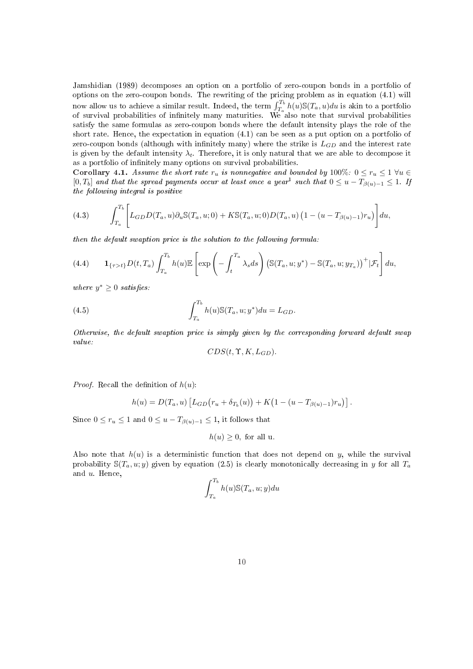Jamshidian (1989) decomposes an option on a portfolio of zero-coupon bonds in a portfolio of options on the zero-coupon bonds. The rewriting of the pricing problem as in equation (4.1) will options on the zero-coupon bonds. The rewriting of the pricing problem as in equation (4.1) will<br>now allow us to achieve a similar result. Indeed, the term  $\int_{T_a}^{T_b} h(u) \mathbb{S}(T_a, u) du$  is akin to a portfolio of survival probabilities of infinitely many maturities. We also note that survival probabilities satisfy the same formulas as zero-coupon bonds where the default intensity plays the role of the short rate. Hence, the expectation in equation (4.1) can be seen as a put option on a portfolio of zero-coupon bonds (although with infinitely many) where the strike is  $L_{GD}$  and the interest rate is given by the default intensity  $\lambda_t$ . Therefore, it is only natural that we are able to decompose it as a portfolio of infinitely many options on survival probabilities.

Corollary 4.1. Assume the short rate  $r_u$  is nonnegative and bounded by 100%:  $0 \le r_u \le 1 \; \forall u \in$  $[0,T_b]$  and that the spread payments occur at least once a year<sup>1</sup> such that  $0 \le u - T_{\beta(u)-1} \le 1$ . If the following integral is positive

(4.3) 
$$
\int_{T_a}^{T_b} \left[ L_{GD} D(T_a, u) \partial_u \mathbb{S}(T_a, u; 0) + K \mathbb{S}(T_a, u; 0) D(T_a, u) \left( 1 - (u - T_{\beta(u)-1}) r_u \right) \right] du,
$$

then the default swaption price is the solution to the following formula:

(4.4) 
$$
\mathbf{1}_{\{\tau > t\}} D(t, T_a) \int_{T_a}^{T_b} h(u) \mathbb{E}\left[\exp\left(-\int_t^{T_a} \lambda_s ds\right) \left(\mathbb{S}(T_a, u; y^*) - \mathbb{S}(T_a, u; y_{T_a})\right)^+ | \mathcal{F}_t\right] du,
$$

where  $y^* \geq 0$  satisfies:

(4.5) 
$$
\int_{T_a}^{T_b} h(u) \mathbb{S}(T_a, u; y^*) du = L_{GD}.
$$

Otherwise, the default swaption price is simply given by the corresponding forward default swap value:

$$
CDS(t, \Upsilon, K, L_{GD}).
$$

*Proof.* Recall the definition of  $h(u)$ :

$$
h(u) = D(T_a, u) [L_{GD}(r_u + \delta_{T_b}(u)) + K(1 - (u - T_{\beta(u)-1})r_u)].
$$

Since  $0 \le r_u \le 1$  and  $0 \le u - T_{\beta(u)-1} \le 1$ , it follows that

$$
h(u) \geq 0
$$
, for all u.

Also note that  $h(u)$  is a deterministic function that does not depend on y, while the survival probability  $\mathcal{S}(T_a, u; y)$  given by equation (2.5) is clearly monotonically decreasing in y for all  $T_a$ and u. Hence,

$$
\int_{T_a}^{T_b} h(u) \mathbb{S}(T_a, u; y) du
$$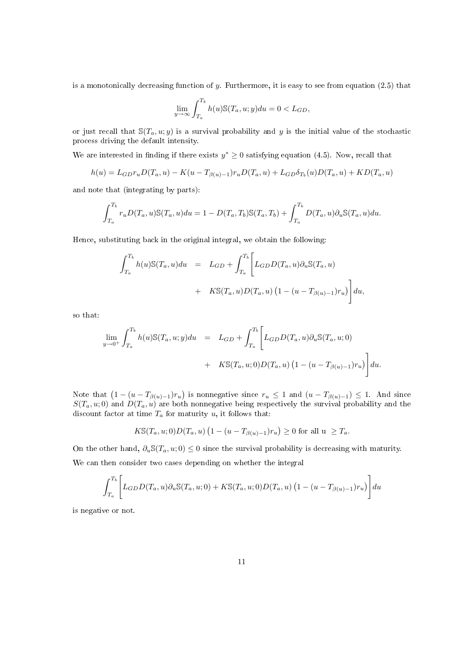is a monotonically decreasing function of  $y$ . Furthermore, it is easy to see from equation (2.5) that

$$
\lim_{y\to\infty}\int_{T_a}^{T_b}h(u)\mathbb{S}(T_a,u;y)du=0
$$

or just recall that  $\mathbb{S}(T_a, u; y)$  is a survival probability and y is the initial value of the stochastic process driving the default intensity.

We are interested in finding if there exists  $y^* \geq 0$  satisfying equation (4.5). Now, recall that

$$
h(u) = L_{GD}r_u D(T_a, u) - K(u - T_{\beta(u)-1})r_u D(T_a, u) + L_{GD}\delta_{T_b}(u) D(T_a, u) + KD(T_a, u)
$$

and note that (integrating by parts):

$$
\int_{T_a}^{T_b} r_u D(T_a, u) \mathbb{S}(T_a, u) du = 1 - D(T_a, T_b) \mathbb{S}(T_a, T_b) + \int_{T_a}^{T_b} D(T_a, u) \partial_u \mathbb{S}(T_a, u) du.
$$

Hence, substituting back in the original integral, we obtain the following:

$$
\int_{T_a}^{T_b} h(u) \mathbb{S}(T_a, u) du = L_{GD} + \int_{T_a}^{T_b} \left[ L_{GD} D(T_a, u) \partial_u \mathbb{S}(T_a, u) + K \mathbb{S}(T_a, u) D(T_a, u) \left( 1 - (u - T_{\beta(u)-1}) r_u \right) \right] du,
$$

so that:

$$
\lim_{y \to 0^+} \int_{T_a}^{T_b} h(u) \mathbb{S}(T_a, u; y) du = L_{GD} + \int_{T_a}^{T_b} \left[ L_{GD} D(T_a, u) \partial_u \mathbb{S}(T_a, u; 0) + K \mathbb{S}(T_a, u; 0) D(T_a, u) \left( 1 - (u - T_{\beta(u) - 1}) r_u \right) \right] du.
$$

Note that  $(1 - (u - T_{\beta(u)-1})r_u)$ ¢ is nonnegative since  $r_u \leq 1$  and  $(u - T_{\beta(u)-1}) \leq 1$ . And since  $S(T_a, u; 0)$  and  $D(T_a, u)$  are both nonnegative being respectively the survival probability and the discount factor at time  $T_a$  for maturity u, it follows that:

$$
K\mathbb{S}(T_a, u; 0)D(T_a, u) (1 - (u - T_{\beta(u)-1})r_u) \ge 0
$$
 for all  $u \ge T_a$ .

On the other hand,  $\partial_u \mathbb{S}(T_a, u; 0) \leq 0$  since the survival probability is decreasing with maturity. We can then consider two cases depending on whether the integral

$$
\int_{T_a}^{T_b} \left[ L_{GD} D(T_a, u) \partial_u \mathbb{S}(T_a, u; 0) + K \mathbb{S}(T_a, u; 0) D(T_a, u) \left( 1 - (u - T_{\beta(u)-1}) r_u \right) \right] du
$$

is negative or not.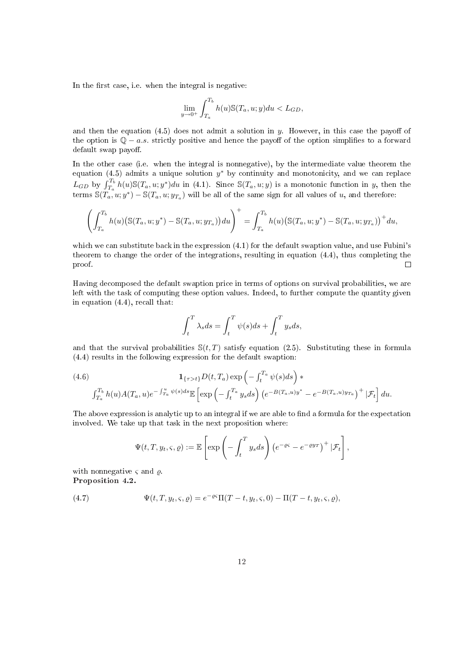In the first case, i.e. when the integral is negative:

$$
\lim_{y \to 0^+} \int_{T_a}^{T_b} h(u) \mathbb{S}(T_a, u; y) du < L_{GD},
$$

and then the equation  $(4.5)$  does not admit a solution in y. However, in this case the payoff of the option is  $\mathbb{Q} - a.s.$  strictly positive and hence the payoff of the option simplifies to a forward default swap payoff.

In the other case (i.e. when the integral is nonnegative), by the intermediate value theorem the equation (4.5) admits a unique solution  $y^*$  by continuity and monotonicity, and we can replace  $L_{GD}$  by  $\int_{T_a}^{T_b} h(u) S(T_a, u; y^*) du$  in (4.1). Since  $S(T_a, u; y)$  is a monotonic function in y, then the terms  $\mathbb{S}(T_a, u; y^*) - \mathbb{S}(T_a, u; y_{T_a})$  will be all of the same sign for all values of u, and therefore:

$$
\left(\int_{T_a}^{T_b}h(u)\big(\mathbb{S}(T_a,u;y^*)-\mathbb{S}(T_a,u;y_{T_a})\big)du\right)^+=\int_{T_a}^{T_b}h(u)\big(\mathbb{S}(T_a,u;y^*)-\mathbb{S}(T_a,u;y_{T_a})\big)^+du,
$$

which we can substitute back in the expression  $(4.1)$  for the default swaption value, and use Fubini's theorem to change the order of the integrations, resulting in equation (4.4), thus completing the proof.  $\Box$ 

Having decomposed the default swaption price in terms of options on survival probabilities, we are left with the task of computing these option values. Indeed, to further compute the quantity given in equation (4.4), recall that:

$$
\int_t^T \lambda_s ds = \int_t^T \psi(s)ds + \int_t^T y_s ds,
$$

and that the survival probabilities  $\mathcal{S}(t,T)$  satisfy equation (2.5). Substituting these in formula (4.4) results in the following expression for the default swaption:

(4.6)  
\n
$$
\mathbf{1}_{\{\tau > t\}} D(t, T_a) \exp \left(-\int_t^{T_a} \psi(s) ds\right) *
$$
\n
$$
\int_{T_a}^{T_b} h(u) A(T_a, u) e^{-\int_{T_a}^u \psi(s) ds} \mathbb{E} \left[\exp \left(-\int_t^{T_a} y_s ds\right) \left(e^{-B(T_a, u)y^*} - e^{-B(T_a, u) y_{T_a}}\right)^+ | \mathcal{F}_t\right] du.
$$

The above expression is analytic up to an integral if we are able to find a formula for the expectation involved. We take up that task in the next proposition where:

$$
\Psi(t,T,y_t,\varsigma,\varrho):=\mathbb{E}\left[\exp\left(-\int_t^T y_s ds\right)\left(e^{-\varrho\varsigma}-e^{-\varrho y_T}\right)^+|\mathcal{F}_t\right],
$$

with nonnegative  $\varsigma$  and  $\rho$ . Proposition 4.2.

(4.7) 
$$
\Psi(t,T,y_t,\varsigma,\varrho)=e^{-\varrho\varsigma}\Pi(T-t,y_t,\varsigma,0)-\Pi(T-t,y_t,\varsigma,\varrho),
$$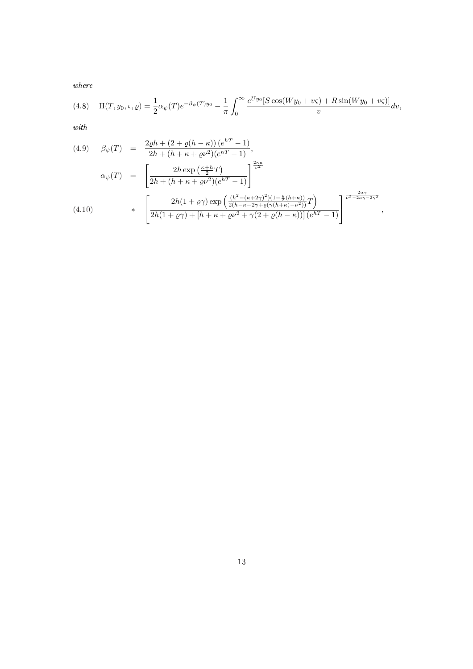where

$$
(4.8) \quad \Pi(T, y_0, \varsigma, \varrho) = \frac{1}{2} \alpha_{\psi}(T) e^{-\beta_{\psi}(T)y_0} - \frac{1}{\pi} \int_0^{\infty} \frac{e^{U y_0} [S \cos(W y_0 + v \varsigma) + R \sin(W y_0 + v \varsigma)]}{v} dv,
$$

with

(4.9) 
$$
\beta_{\psi}(T) = \frac{2\varrho h + (2 + \varrho(h - \kappa)) (e^{hT} - 1)}{2h + (h + \kappa + \varrho\nu^{2})(e^{hT} - 1)},
$$

$$
\alpha_{\psi}(T) = \left[ \frac{2h \exp\left(\frac{\kappa + h}{2}T\right)}{2h + (h + \kappa + \varrho\nu^{2})(e^{hT} - 1)} \right]^{\frac{2\kappa\mu}{\nu^{2}}}.
$$

$$
(4.10) \qquad * \left[ \frac{2h(1 + \varrho\gamma) \exp\left(\frac{(h^{2} - (\kappa + 2\gamma)^{2})(1 - \frac{\varrho}{2}(h + \kappa))}{2(h - \kappa - 2\gamma + \varrho(\gamma(h + \kappa) - \nu^{2}))} T\right)^{\frac{2\alpha\gamma}{\nu^{2} - 2\kappa\gamma - 2\gamma^{2}}}}{2h(1 + \varrho\gamma) + [h + \kappa + \varrho\nu^{2} + \gamma(2 + \varrho(h - \kappa))](e^{hT} - 1)} \right]^{\frac{2\alpha\gamma}{\nu^{2} - 2\kappa\gamma - 2\gamma^{2}}},
$$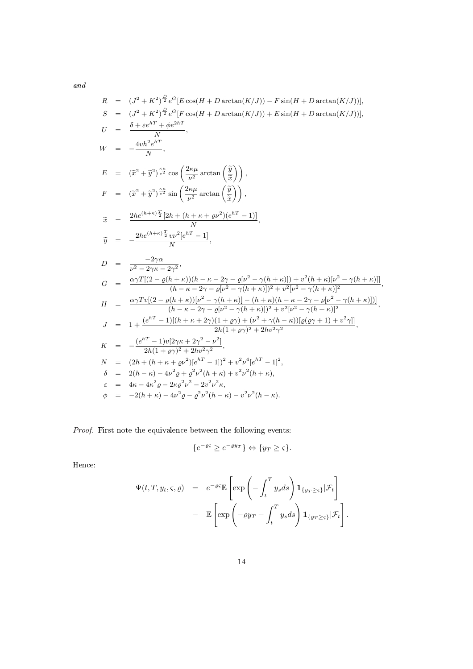and

$$
R = (J^{2} + K^{2})^{\frac{D}{2}} e^{G}[E \cos(H + D \arctan(K/J)) - F \sin(H + D \arctan(K/J))],
$$
\n
$$
S = (J^{2} + K^{2})^{\frac{D}{2}} e^{G}[F \cos(H + D \arctan(K/J)) + E \sin(H + D \arctan(K/J))],
$$
\n
$$
U = \frac{\delta + \varepsilon e^{hT} + \phi e^{2hT}}{N},
$$
\n
$$
W = -\frac{4v h^{2} e^{hT}}{N},
$$
\n
$$
E = (\tilde{x}^{2} + \tilde{y}^{2})^{\frac{\kappa \mu}{\nu}} \cos\left(\frac{2\kappa \mu}{\nu^{2}} \arctan\left(\frac{\tilde{y}}{\tilde{x}}\right)\right),
$$
\n
$$
F = (\tilde{x}^{2} + \tilde{y}^{2})^{\frac{\kappa \mu}{\nu^{2}}} \sin\left(\frac{2\kappa \mu}{\nu^{2}} \arctan\left(\frac{\tilde{y}}{\tilde{x}}\right)\right),
$$
\n
$$
\tilde{x} = \frac{2h e^{(h+\kappa)\frac{T}{2}} [2h + (h + \kappa + \varrho \nu^{2})(e^{hT} - 1)]}{N},
$$
\n
$$
\tilde{y} = -\frac{2\kappa e^{(h+\kappa)\frac{T}{2}} \nu \nu^{2} [e^{hT} - 1]}{N},
$$
\n
$$
D = \frac{-2\gamma \alpha}{\nu^{2} - 2\gamma \kappa - 2\gamma^{2}},
$$
\n
$$
G = \frac{\alpha \gamma T [(2 - \varrho(h + \kappa)) (h - \kappa - 2\gamma - \varrho[\nu^{2} - \gamma(h + \kappa)]) + v^{2}(h + \kappa)[\nu^{2} - \gamma(h + \kappa)]]}{(h - \kappa - 2\gamma - \varrho[\nu^{2} - \gamma(h + \kappa)] + v^{2}[\nu^{2} - \gamma(h + \kappa)]]}),
$$
\n
$$
H = \frac{\alpha \gamma T v [(2 - \varrho(h + \kappa)) (\nu^{2} - \gamma(\kappa + \kappa)) + v^{2}[\nu^{2} - \gamma(h + \kappa)]]}{(h - \kappa - 2\gamma - \varrho[\nu^{2} - \gamma(h + \kappa)]^{2} + v^{2}[\
$$

Proof. First note the equivalence between the following events:

$$
\{e^{-\varrho\varsigma}\geq e^{-\varrho y_T}\}\Leftrightarrow \{y_T\geq \varsigma\}.
$$

Hence:

$$
\Psi(t, T, y_t, \varsigma, \varrho) = e^{-\varrho \varsigma} \mathbb{E} \left[ \exp \left( - \int_t^T y_s ds \right) \mathbf{1}_{\{y_T \ge \varsigma\}} |\mathcal{F}_t \right] - \mathbb{E} \left[ \exp \left( -\varrho y_T - \int_t^T y_s ds \right) \mathbf{1}_{\{y_T \ge \varsigma\}} |\mathcal{F}_t \right].
$$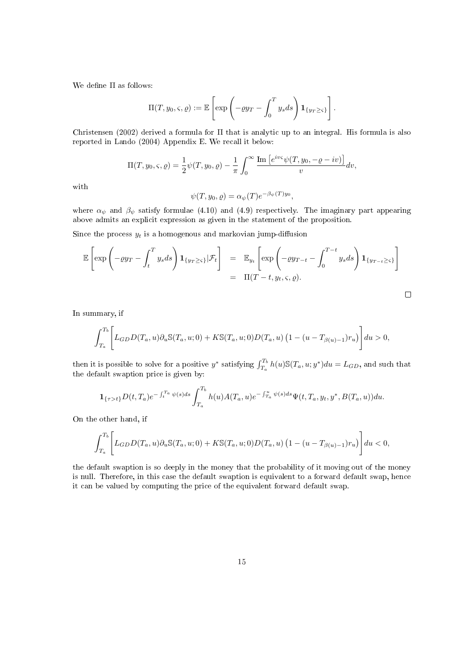We define  $\Pi$  as follows:

$$
\Pi(T, y_0, \varsigma, \varrho) := \mathbb{E}\left[\exp\left(-\varrho y_T - \int_0^T y_s ds\right) \mathbf{1}_{\{y_T \geq \varsigma\}}\right].
$$

Christensen (2002) derived a formula for Π that is analytic up to an integral. His formula is also reported in Lando (2004) Appendix E. We recall it below:

$$
\Pi(T, y_0, \varsigma, \varrho) = \frac{1}{2} \psi(T, y_0, \varrho) - \frac{1}{\pi} \int_0^\infty \frac{\text{Im} [e^{iv\varsigma} \psi(T, y_0, -\varrho - iv)]}{v} dv,
$$

with

$$
\psi(T, y_0, \varrho) = \alpha_{\psi}(T) e^{-\beta_{\psi}(T) y_0},
$$

where  $\alpha_{\psi}$  and  $\beta_{\psi}$  satisfy formulae (4.10) and (4.9) respectively. The imaginary part appearing above admits an explicit expression as given in the statement of the proposition.

Since the process  $y_t$  is a homogenous and markovian jump-diffusion

$$
\mathbb{E}\left[\exp\left(-\varrho y_T - \int_t^T y_s ds\right) \mathbf{1}_{\{y_T \ge \varsigma\}} | \mathcal{F}_t\right] = \mathbb{E}_{y_t} \left[\exp\left(-\varrho y_{T-t} - \int_0^{T-t} y_s ds\right) \mathbf{1}_{\{y_{T-t} \ge \varsigma\}}\right]
$$
  
=  $\Pi(T-t, y_t, \varsigma, \varrho).$ 

In summary, if

$$
\int_{T_a}^{T_b}\Bigg[L_{GD}D(T_a,u)\partial_u\mathbb{S}(T_a,u;0)+K\mathbb{S}(T_a,u;0)D(T_a,u)\left(1-(u-T_{\beta(u)-1})r_u\right)\Bigg]du>0,
$$

then it is possible to solve for a positive  $y^*$  satisfying  $\int_{T_a}^{T_b} h(u) \mathbb{S}(T_a, u; y^*) du = L_{GD}$ , and such that the default swaption price is given by:

$$
\mathbf{1}_{\{\tau > t\}} D(t, T_a) e^{-\int_t^{T_a} \psi(s)ds} \int_{T_a}^{T_b} h(u) A(T_a, u) e^{-\int_{T_a}^u \psi(s)ds} \Psi(t, T_a, y_t, y^*, B(T_a, u)) du.
$$

On the other hand, if

$$
\int_{T_a}^{T_b} \Bigg[ L_{GD} D(T_a, u) \partial_u \mathbb{S}(T_a, u; 0) + K \mathbb{S}(T_a, u; 0) D(T_a, u) \left(1 - (u - T_{\beta(u)-1}) r_u\right) \Bigg] du < 0,
$$

the default swaption is so deeply in the money that the probability of it moving out of the money is null. Therefore, in this case the default swaption is equivalent to a forward default swap, hence it can be valued by computing the price of the equivalent forward default swap.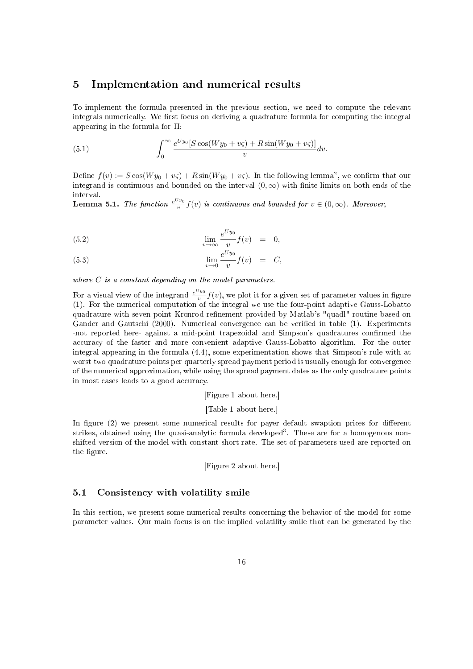#### 5 Implementation and numerical results

To implement the formula presented in the previous section, we need to compute the relevant integrals numerically. We first focus on deriving a quadrature formula for computing the integral appearing in the formula for Π:

(5.1) 
$$
\int_0^\infty \frac{e^{U y_0} [S \cos(W y_0 + v \varsigma) + R \sin(W y_0 + v \varsigma)]}{v} dv.
$$

Define  $f(v) := S \cos(W y_0 + v \varsigma) + R \sin(W y_0 + v \varsigma)$ . In the following lemma<sup>2</sup>, we confirm that our integrand is continuous and bounded on the interval  $(0, \infty)$  with finite limits on both ends of the interval.

Lemma 5.1. The function  $\frac{e^{U y_0}}{v}$  $\frac{v_{\rm so}}{v} f(v)$  is continuous and bounded for  $v \in (0,\infty)$ . Moreover,

(5.2) 
$$
\lim_{v \to \infty} \frac{e^{U y_0}}{v} f(v) = 0,
$$

(5.3) 
$$
\lim_{v \to 0} \frac{e^{U y_0}}{v} f(v) = C,
$$

where  $C$  is a constant depending on the model parameters.

For a visual view of the integrand  $\frac{e^{Uy_0}}{v}$  $\frac{y_{y_0}}{y}f(v)$ , we plot it for a given set of parameter values in figure (1). For the numerical computation of the integral we use the four-point adaptive Gauss-Lobatto quadrature with seven point Kronrod refinement provided by Matlab's "quadl" routine based on Gander and Gautschi (2000). Numerical convergence can be verified in table (1). Experiments -not reported here- against a mid-point trapezoidal and Simpson's quadratures confirmed the accuracy of the faster and more convenient adaptive Gauss-Lobatto algorithm. For the outer integral appearing in the formula (4.4), some experimentation shows that Simpson's rule with at worst two quadrature points per quarterly spread payment period is usually enough for convergence of the numerical approximation, while using the spread payment dates as the only quadrature points in most cases leads to a good accuracy.

[Figure 1 about here.]

[Table 1 about here.]

In figure  $(2)$  we present some numerical results for payer default swaption prices for different strikes, obtained using the quasi-analytic formula developed<sup>3</sup>. These are for a homogenous nonshifted version of the model with constant short rate. The set of parameters used are reported on the figure.

[Figure 2 about here.]

#### 5.1 Consistency with volatility smile

In this section, we present some numerical results concerning the behavior of the model for some parameter values. Our main focus is on the implied volatility smile that can be generated by the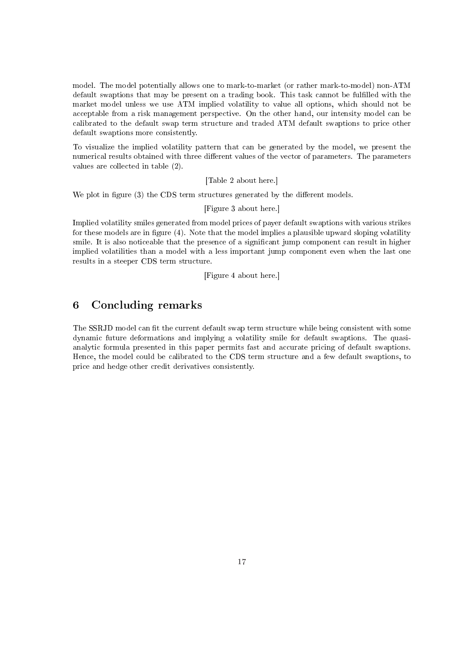model. The model potentially allows one to mark-to-market (or rather mark-to-model) non-ATM default swaptions that may be present on a trading book. This task cannot be fullled with the market model unless we use ATM implied volatility to value all options, which should not be acceptable from a risk management perspective. On the other hand, our intensity model can be calibrated to the default swap term structure and traded ATM default swaptions to price other default swaptions more consistently.

To visualize the implied volatility pattern that can be generated by the model, we present the numerical results obtained with three different values of the vector of parameters. The parameters values are collected in table (2).

[Table 2 about here.]

We plot in figure  $(3)$  the CDS term structures generated by the different models.

[Figure 3 about here.]

Implied volatility smiles generated from model prices of payer default swaptions with various strikes for these models are in figure (4). Note that the model implies a plausible upward sloping volatility smile. It is also noticeable that the presence of a significant jump component can result in higher implied volatilities than a model with a less important jump component even when the last one results in a steeper CDS term structure.

[Figure 4 about here.]

# 6 Concluding remarks

The SSRJD model can fit the current default swap term structure while being consistent with some dynamic future deformations and implying a volatility smile for default swaptions. The quasianalytic formula presented in this paper permits fast and accurate pricing of default swaptions. Hence, the model could be calibrated to the CDS term structure and a few default swaptions, to price and hedge other credit derivatives consistently.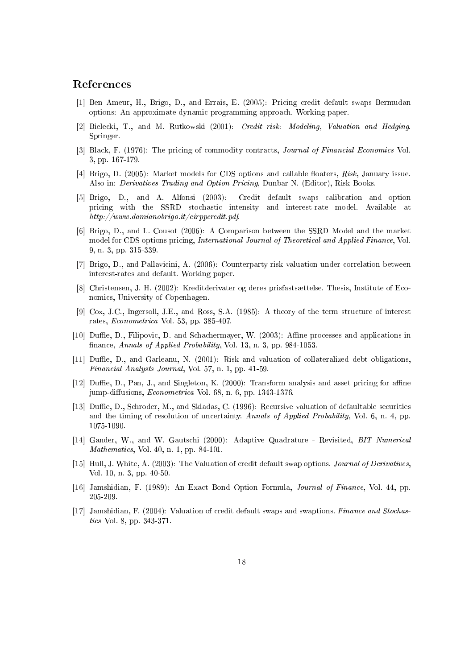#### References

- [1] Ben Ameur, H., Brigo, D., and Errais, E. (2005): Pricing credit default swaps Bermudan options: An approximate dynamic programming approach. Working paper.
- [2] Bielecki, T., and M. Rutkowski (2001): Credit risk: Modeling, Valuation and Hedging. Springer.
- [3] Black, F. (1976): The pricing of commodity contracts, Journal of Financial Economics Vol. 3, pp. 167-179.
- [4] Brigo, D. (2005): Market models for CDS options and callable floaters, Risk, January issue. Also in: Derivatives Trading and Option Pricing, Dunbar N. (Editor), Risk Books.
- [5] Brigo, D., and A. Alfonsi (2003): Credit default swaps calibration and option pricing with the SSRD stochastic intensity and interest-rate model. Available at http://www.damianobrigo.it/cirppcredit.pdf.
- [6] Brigo, D., and L. Cousot (2006): A Comparison between the SSRD Model and the market model for CDS options pricing, International Journal of Theoretical and Applied Finance, Vol. 9, n. 3, pp. 315-339.
- [7] Brigo, D., and Pallavicini, A. (2006): Counterparty risk valuation under correlation between interest-rates and default. Working paper.
- [8] Christensen, J. H. (2002): Kreditderivater og deres prisfastsættelse. Thesis, Institute of Economics, University of Copenhagen.
- [9] Cox, J.C., Ingersoll, J.E., and Ross, S.A. (1985): A theory of the term structure of interest rates, Econometrica Vol. 53, pp. 385-407.
- [10] Duffie, D., Filipovic, D. and Schachermayer, W. (2003): Affine processes and applications in nance, Annals of Applied Probability, Vol. 13, n. 3, pp. 984-1053.
- [11] Duffie, D., and Garleanu, N. (2001): Risk and valuation of collateralized debt obligations, Financial Analysts Journal, Vol. 57, n. 1, pp. 41-59.
- $[12]$  Duffie, D., Pan, J., and Singleton, K.  $(2000)$ : Transform analysis and asset pricing for affine jump-diffusions,  $Econometrica$  Vol. 68, n. 6, pp. 1343-1376.
- [13] Duffie, D., Schroder, M., and Skiadas, C. (1996): Recursive valuation of defaultable securities and the timing of resolution of uncertainty. Annals of Applied Probability, Vol. 6, n. 4, pp. 1075-1090.
- [14] Gander, W., and W. Gautschi (2000): Adaptive Quadrature Revisited, BIT Numerical Mathematics, Vol. 40, n. 1, pp. 84-101.
- [15] Hull, J. White, A. (2003): The Valuation of credit default swap options. Journal of Derivatives, Vol. 10, n. 3, pp. 40-50.
- [16] Jamshidian, F. (1989): An Exact Bond Option Formula, Journal of Finance, Vol. 44, pp. 205-209.
- [17] Jamshidian, F. (2004): Valuation of credit default swaps and swaptions. Finance and Stochastics Vol. 8, pp. 343-371.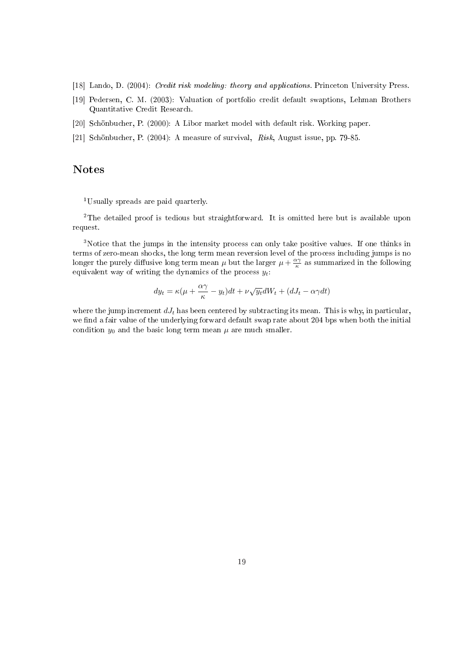- [18] Lando, D. (2004): Credit risk modeling: theory and applications. Princeton University Press.
- [19] Pedersen, C. M. (2003): Valuation of portfolio credit default swaptions, Lehman Brothers Quantitative Credit Research.
- [20] Schönbucher, P. (2000): A Libor market model with default risk. Working paper.
- [21] Schönbucher, P. (2004): A measure of survival, Risk, August issue, pp. 79-85.

# Notes

<sup>1</sup>Usually spreads are paid quarterly.

<sup>2</sup>The detailed proof is tedious but straightforward. It is omitted here but is available upon request.

<sup>3</sup>Notice that the jumps in the intensity process can only take positive values. If one thinks in terms of zero-mean shocks, the long term mean reversion level of the process including jumps is no longer the purely diffusive long term mean  $\mu$  but the larger  $\mu + \frac{\alpha \gamma}{\kappa}$  as summarized in the following equivalent way of writing the dynamics of the process  $y_t$ :

$$
dy_t = \kappa(\mu + \frac{\alpha \gamma}{\kappa} - y_t)dt + \nu \sqrt{y_t}dW_t + (dJ_t - \alpha \gamma dt)
$$

where the jump increment  $dJ_t$  has been centered by subtracting its mean. This is why, in particular, we find a fair value of the underlying forward default swap rate about 204 bps when both the initial condition  $y_0$  and the basic long term mean  $\mu$  are much smaller.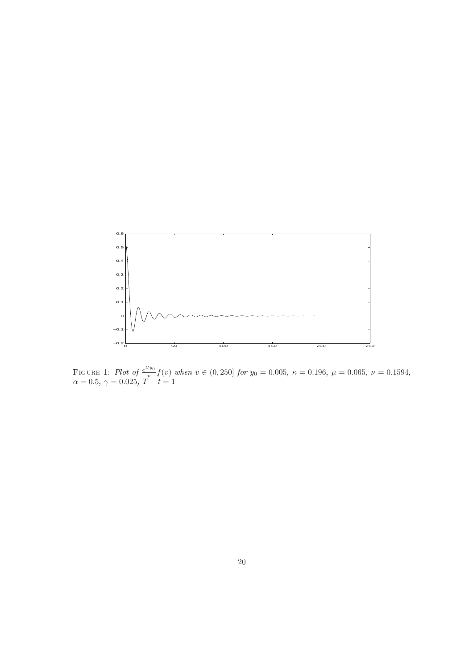

FIGURE 1: Plot of  $e^{Uy_0}$  $\frac{f_{\text{y0}}}{v}f(v)$  when  $v \in (0, 250]$  for  $y_0 = 0.005$ ,  $\kappa = 0.196$ ,  $\mu = 0.065$ ,  $\nu = 0.1594$ ,  $\alpha = 0.5, \, \gamma = 0.025, \, T - t = 1$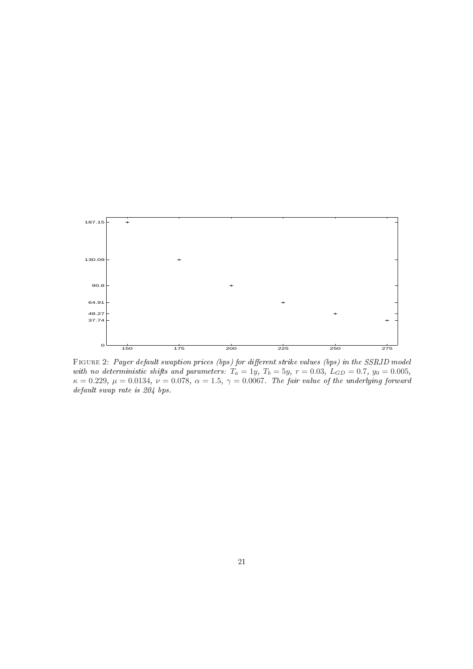

FIGURE 2: Payer default swaption prices (bps) for different strike values (bps) in the SSRJD model with no deterministic shifts and parameters:  $T_a = 1y$ ,  $T_b = 5y$ ,  $r = 0.03$ ,  $L_{GD} = 0.7$ ,  $y_0 = 0.005$ ,  $\kappa = 0.229, \ \mu = 0.0134, \ \nu = 0.078, \ \alpha = 1.5, \ \gamma = 0.0067.$  The fair value of the underlying forward default swap rate is 204 bps.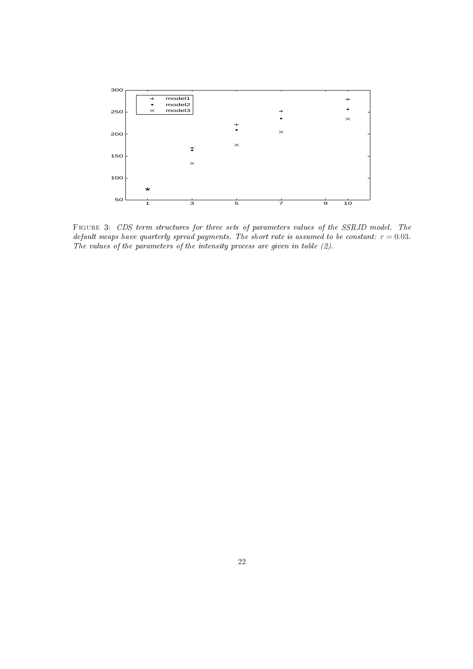

Figure 3: CDS term structures for three sets of parameters values of the SSRJD model. The default swaps have quarterly spread payments. The short rate is assumed to be constant:  $r = 0.03$ . The values of the parameters of the intensity process are given in table (2).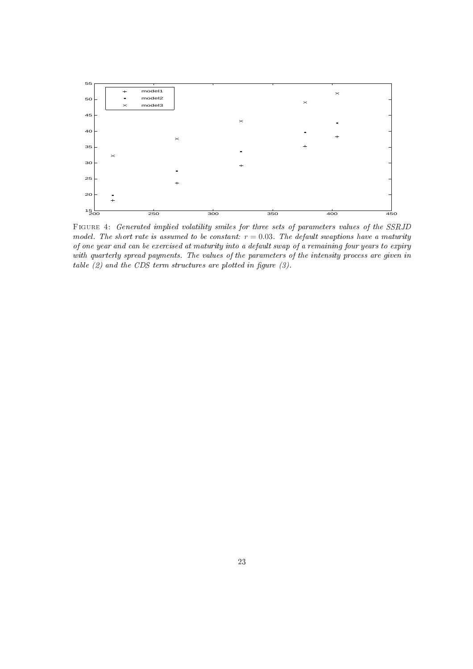

Figure 4: Generated implied volatility smiles for three sets of parameters values of the SSRJD model. The short rate is assumed to be constant:  $r = 0.03$ . The default swaptions have a maturity of one year and can be exercised at maturity into a default swap of a remaining four years to expiry with quarterly spread payments. The values of the parameters of the intensity process are given in table  $(2)$  and the CDS term structures are plotted in figure  $(3)$ .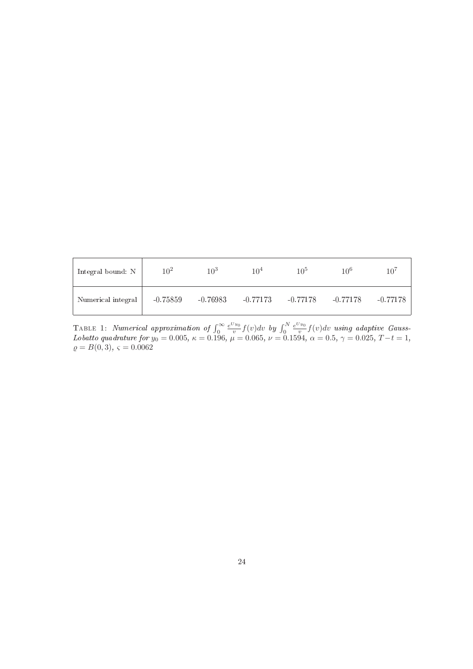| Integral bound: N  | $10^{2}$   | $10^{3}$   | 10 <sup>4</sup> | 10 <sup>5</sup> | $10^{6}$   | $10^{7}$   |
|--------------------|------------|------------|-----------------|-----------------|------------|------------|
| Numerical integral | $-0.75859$ | $-0.76983$ | $-0.77173$      | $-0.77178$      | $-0.77178$ | $-0.77178$ |

TABLE 1: Numerical approximation of  $\int_0^\infty \frac{e^{U y_0}}{v}$  $\int_{v}^{\frac{Jy_0}{v}} f(v) dv$  by  $\int_{0}^{N} \frac{e^{Uy_0}}{v}$  $\frac{\partial^2 u}{\partial y^2} f(v) dv$  using adaptive Gauss-Lobatto quadrature for  $y_0 = 0.005$ ,  $\kappa = 0.196$ ,  $\mu = 0.065$ ,  $\nu = 0.1594$ ,  $\alpha = 0.5$ ,  $\gamma = 0.025$ ,  $T-t = 1$ ,  $\rho = B(0, 3), \varsigma = 0.0062$